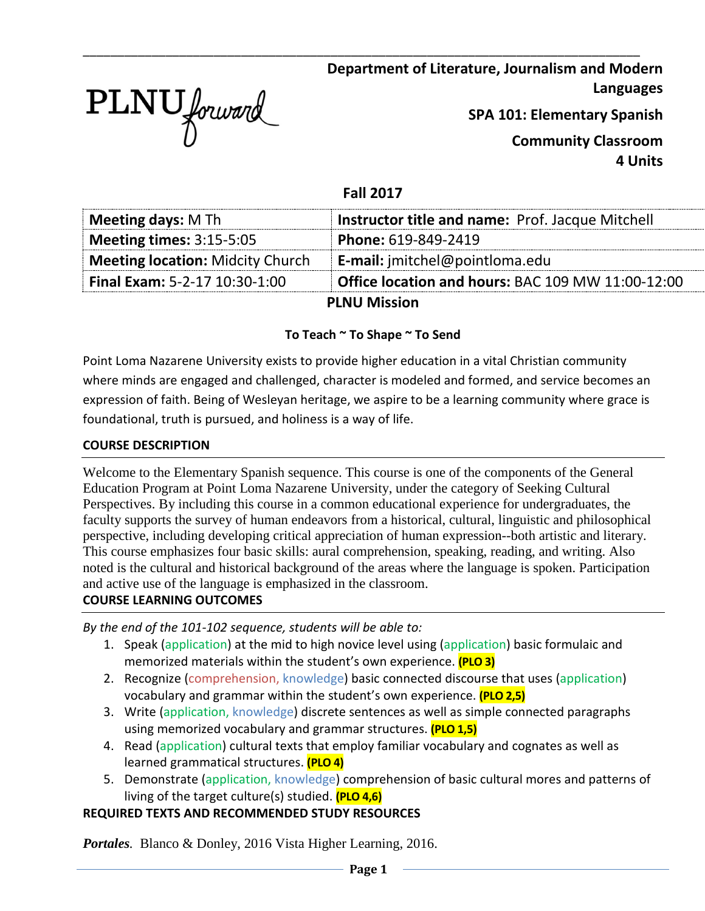

**Department of Literature, Journalism and Modern Languages**

**SPA 101: Elementary Spanish**

**Community Classroom 4 Units**

### **Fall 2017**

\_\_\_\_\_\_\_\_\_\_\_\_\_\_\_\_\_\_\_\_\_\_\_\_\_\_\_\_\_\_\_\_\_\_\_\_\_\_\_\_\_\_\_\_\_\_\_\_\_\_\_\_\_\_\_\_\_\_\_\_\_\_\_\_\_\_\_\_\_\_\_\_\_\_\_\_\_\_\_\_\_

| <b>Meeting days: M Th</b>               | <b>Instructor title and name: Prof. Jacque Mitchell</b> |
|-----------------------------------------|---------------------------------------------------------|
| Meeting times: $3:15-5:05$              | Phone: 619-849-2419                                     |
| <b>Meeting location: Midcity Church</b> | <b>E-mail:</b> jmitchel@pointloma.edu                   |
| Final Exam: 5-2-17 10:30-1:00           | Office location and hours: BAC 109 MW 11:00-12:00       |
|                                         | <b>PLNU Mission</b>                                     |

### **To Teach ~ To Shape ~ To Send**

Point Loma Nazarene University exists to provide higher education in a vital Christian community where minds are engaged and challenged, character is modeled and formed, and service becomes an expression of faith. Being of Wesleyan heritage, we aspire to be a learning community where grace is foundational, truth is pursued, and holiness is a way of life.

#### **COURSE DESCRIPTION**

Welcome to the Elementary Spanish sequence. This course is one of the components of the General Education Program at Point Loma Nazarene University, under the category of Seeking Cultural Perspectives. By including this course in a common educational experience for undergraduates, the faculty supports the survey of human endeavors from a historical, cultural, linguistic and philosophical perspective, including developing critical appreciation of human expression--both artistic and literary. This course emphasizes four basic skills: aural comprehension, speaking, reading, and writing. Also noted is the cultural and historical background of the areas where the language is spoken. Participation and active use of the language is emphasized in the classroom.

### **COURSE LEARNING OUTCOMES**

*By the end of the 101-102 sequence, students will be able to:*

- 1. Speak (application) at the mid to high novice level using (application) basic formulaic and memorized materials within the student's own experience. **(PLO 3)**
- 2. Recognize (comprehension, knowledge) basic connected discourse that uses (application) vocabulary and grammar within the student's own experience. **(PLO 2,5)**
- 3. Write (application, knowledge) discrete sentences as well as simple connected paragraphs using memorized vocabulary and grammar structures. **(PLO 1,5)**
- 4. Read (application) cultural texts that employ familiar vocabulary and cognates as well as learned grammatical structures. **(PLO 4)**
- 5. Demonstrate (application, knowledge) comprehension of basic cultural mores and patterns of living of the target culture(s) studied. **(PLO 4,6)**

### **REQUIRED TEXTS AND RECOMMENDED STUDY RESOURCES**

*Portales.* Blanco & Donley, 2016 Vista Higher Learning, 2016.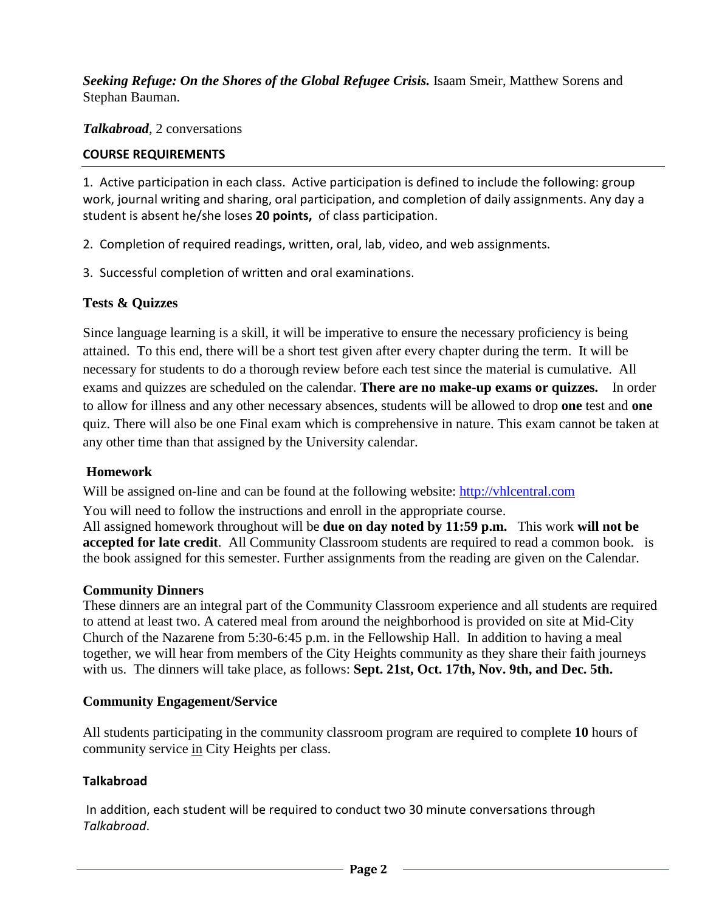*Seeking Refuge: On the Shores of the Global Refugee Crisis.* Isaam Smeir, Matthew Sorens and Stephan Bauman.

*Talkabroad*, 2 conversations

## **COURSE REQUIREMENTS**

1. Active participation in each class. Active participation is defined to include the following: group work, journal writing and sharing, oral participation, and completion of daily assignments. Any day a student is absent he/she loses **20 points,** of class participation.

2. Completion of required readings, written, oral, lab, video, and web assignments.

3. Successful completion of written and oral examinations.

# **Tests & Quizzes**

Since language learning is a skill, it will be imperative to ensure the necessary proficiency is being attained. To this end, there will be a short test given after every chapter during the term. It will be necessary for students to do a thorough review before each test since the material is cumulative. All exams and quizzes are scheduled on the calendar. **There are no make-up exams or quizzes.** In order to allow for illness and any other necessary absences, students will be allowed to drop **one** test and **one** quiz. There will also be one Final exam which is comprehensive in nature. This exam cannot be taken at any other time than that assigned by the University calendar.

### **Homework**

Will be assigned on-line and can be found at the following website: [http://vhlcentral.com](http://vhlcentral.com/)

You will need to follow the instructions and enroll in the appropriate course.

All assigned homework throughout will be **due on day noted by 11:59 p.m.** This work **will not be accepted for late credit**. All Community Classroom students are required to read a common book. is the book assigned for this semester. Further assignments from the reading are given on the Calendar.

### **Community Dinners**

These dinners are an integral part of the Community Classroom experience and all students are required to attend at least two. A catered meal from around the neighborhood is provided on site at Mid-City Church of the Nazarene from 5:30-6:45 p.m. in the Fellowship Hall. In addition to having a meal together, we will hear from members of the City Heights community as they share their faith journeys with us. The dinners will take place, as follows: **Sept. 21st, Oct. 17th, Nov. 9th, and Dec. 5th.**

### **Community Engagement/Service**

All students participating in the community classroom program are required to complete **10** hours of community service in City Heights per class.

### **Talkabroad**

In addition, each student will be required to conduct two 30 minute conversations through *Talkabroad*.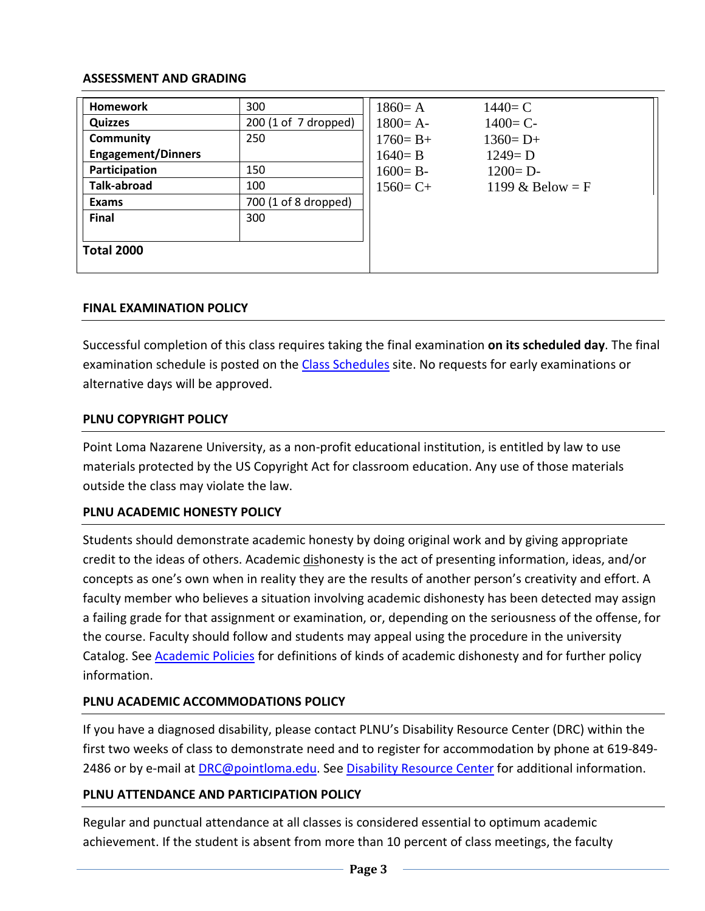### **ASSESSMENT AND GRADING**

| <b>Homework</b>           | 300                  | $1860 = A$   | $1440 = C$         |
|---------------------------|----------------------|--------------|--------------------|
| <b>Quizzes</b>            | 200 (1 of 7 dropped) | $1800 = A -$ | $1400 = C -$       |
| Community                 | 250                  | $1760 = B +$ | $1360 = D+$        |
| <b>Engagement/Dinners</b> |                      | $1640 = B$   | $1249 = D$         |
| Participation             | 150                  | $1600 = B -$ | $1200 = D -$       |
| <b>Talk-abroad</b>        | 100                  | $1560 = C +$ | 1199 & Below = $F$ |
| <b>Exams</b>              | 700 (1 of 8 dropped) |              |                    |
| <b>Final</b>              | 300                  |              |                    |
|                           |                      |              |                    |
| <b>Total 2000</b>         |                      |              |                    |
|                           |                      |              |                    |

### **FINAL EXAMINATION POLICY**

Successful completion of this class requires taking the final examination **on its scheduled day**. The final examination schedule is posted on the [Class Schedules](http://www.pointloma.edu/experience/academics/class-schedules) site. No requests for early examinations or alternative days will be approved.

#### **PLNU COPYRIGHT POLICY**

Point Loma Nazarene University, as a non-profit educational institution, is entitled by law to use materials protected by the US Copyright Act for classroom education. Any use of those materials outside the class may violate the law.

### **PLNU ACADEMIC HONESTY POLICY**

Students should demonstrate academic honesty by doing original work and by giving appropriate credit to the ideas of others. Academic dishonesty is the act of presenting information, ideas, and/or concepts as one's own when in reality they are the results of another person's creativity and effort. A faculty member who believes a situation involving academic dishonesty has been detected may assign a failing grade for that assignment or examination, or, depending on the seriousness of the offense, for the course. Faculty should follow and students may appeal using the procedure in the university Catalog. See [Academic Policies](http://catalog.pointloma.edu/content.php?catoid=18&navoid=1278) for definitions of kinds of academic dishonesty and for further policy information.

### **PLNU ACADEMIC ACCOMMODATIONS POLICY**

If you have a diagnosed disability, please contact PLNU's Disability Resource Center (DRC) within the first two weeks of class to demonstrate need and to register for accommodation by phone at 619-849- 2486 or by e-mail at [DRC@pointloma.edu.](mailto:DRC@pointloma.edu) See [Disability Resource Center](http://www.pointloma.edu/experience/offices/administrative-offices/academic-advising-office/disability-resource-center) for additional information.

### **PLNU ATTENDANCE AND PARTICIPATION POLICY**

Regular and punctual attendance at all classes is considered essential to optimum academic achievement. If the student is absent from more than 10 percent of class meetings, the faculty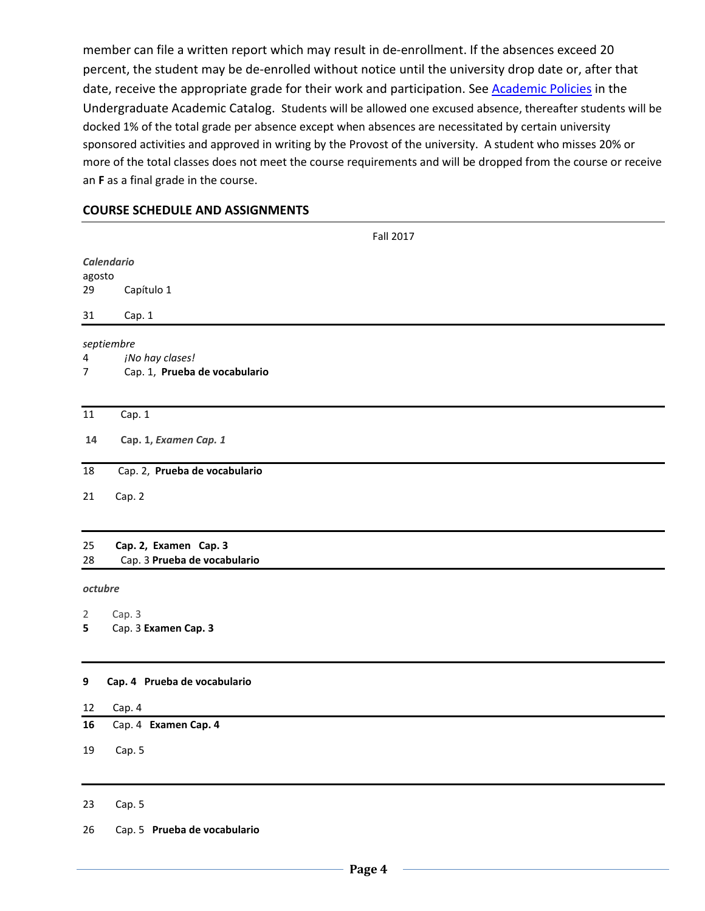member can file a written report which may result in de-enrollment. If the absences exceed 20 percent, the student may be de-enrolled without notice until the university drop date or, after that date, receive the appropriate grade for their work and participation. See **Academic Policies** in the Undergraduate Academic Catalog. Students will be allowed one excused absence, thereafter students will be docked 1% of the total grade per absence except when absences are necessitated by certain university sponsored activities and approved in writing by the Provost of the university. A student who misses 20% or more of the total classes does not meet the course requirements and will be dropped from the course or receive an **F** as a final grade in the course.

#### **COURSE SCHEDULE AND ASSIGNMENTS**

|                             | <b>Fall 2017</b>                                      |  |  |  |  |
|-----------------------------|-------------------------------------------------------|--|--|--|--|
| <b>Calendario</b><br>agosto |                                                       |  |  |  |  |
| 29                          | Capítulo 1                                            |  |  |  |  |
| 31                          | Cap. 1                                                |  |  |  |  |
|                             | septiembre                                            |  |  |  |  |
| 4<br>7                      | ¡No hay clases!<br>Cap. 1, Prueba de vocabulario      |  |  |  |  |
| $11\,$                      | Cap. 1                                                |  |  |  |  |
| 14                          | Cap. 1, Examen Cap. 1                                 |  |  |  |  |
| 18                          | Cap. 2, Prueba de vocabulario                         |  |  |  |  |
| 21                          | Cap. 2                                                |  |  |  |  |
| 25<br>28                    | Cap. 2, Examen Cap. 3<br>Cap. 3 Prueba de vocabulario |  |  |  |  |
| octubre                     |                                                       |  |  |  |  |
| $\overline{2}$              | Cap. 3                                                |  |  |  |  |
| 5                           | Cap. 3 Examen Cap. 3                                  |  |  |  |  |
| $\boldsymbol{9}$            | Cap. 4 Prueba de vocabulario                          |  |  |  |  |
| 12                          | Cap. 4                                                |  |  |  |  |
| 16                          | Cap. 4 Examen Cap. 4                                  |  |  |  |  |
| 19                          | Cap. 5                                                |  |  |  |  |
| 23                          | Cap. 5                                                |  |  |  |  |

26 Cap. 5 **Prueba de vocabulario**